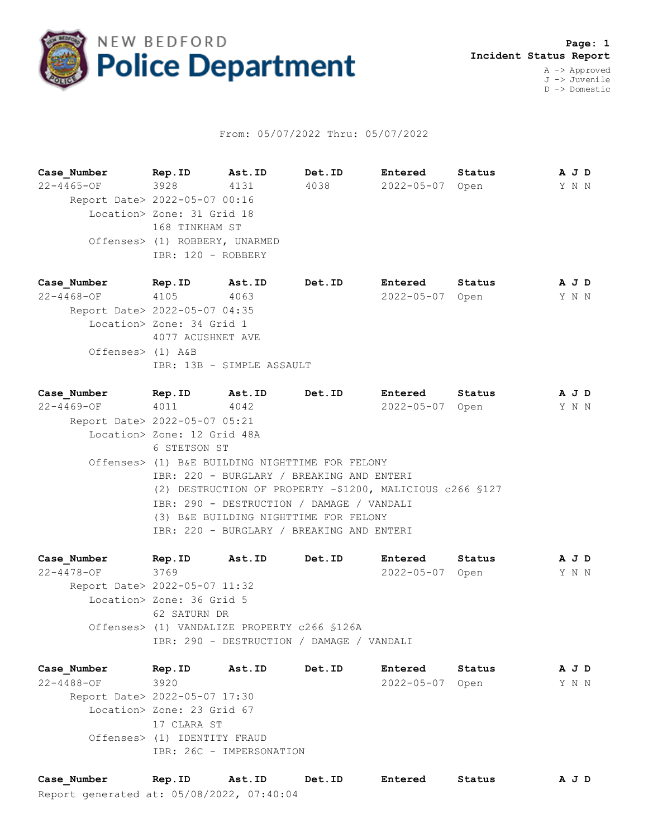

## From: 05/07/2022 Thru: 05/07/2022

**Case\_Number Rep.ID Ast.ID Det.ID Entered Status A J D** 22-4465-OF 3928 4131 4038 2022-05-07 Open Y N N Report Date> 2022-05-07 00:16 Location> Zone: 31 Grid 18 168 TINKHAM ST Offenses> (1) ROBBERY, UNARMED IBR: 120 - ROBBERY

**Case\_Number Rep.ID Ast.ID Det.ID Entered Status A J D** 22-4468-OF 4105 4063 2022-05-07 Open Y N N Report Date> 2022-05-07 04:35 Location> Zone: 34 Grid 1 4077 ACUSHNET AVE Offenses> (1) A&B IBR: 13B - SIMPLE ASSAULT

**Case\_Number Rep.ID Ast.ID Det.ID Entered Status A J D** 22-4469-OF 4011 4042 2022-05-07 Open Y N N Report Date> 2022-05-07 05:21 Location> Zone: 12 Grid 48A 6 STETSON ST Offenses> (1) B&E BUILDING NIGHTTIME FOR FELONY IBR: 220 - BURGLARY / BREAKING AND ENTERI (2) DESTRUCTION OF PROPERTY -\$1200, MALICIOUS c266 §127 IBR: 290 - DESTRUCTION / DAMAGE / VANDALI (3) B&E BUILDING NIGHTTIME FOR FELONY IBR: 220 - BURGLARY / BREAKING AND ENTERI

**Case\_Number Rep.ID Ast.ID Det.ID Entered Status A J D** 22-4478-OF 3769 2022-05-07 Open Y N N Report Date> 2022-05-07 11:32 Location> Zone: 36 Grid 5 62 SATURN DR Offenses> (1) VANDALIZE PROPERTY c266 §126A IBR: 290 - DESTRUCTION / DAMAGE / VANDALI

**Case\_Number Rep.ID Ast.ID Det.ID Entered Status A J D** 22-4488-OF 3920 2022-05-07 Open Y N N Report Date> 2022-05-07 17:30 Location> Zone: 23 Grid 67 17 CLARA ST Offenses> (1) IDENTITY FRAUD IBR: 26C - IMPERSONATION

Report generated at: 05/08/2022, 07:40:04 **Case\_Number Rep.ID Ast.ID Det.ID Entered Status A J D**